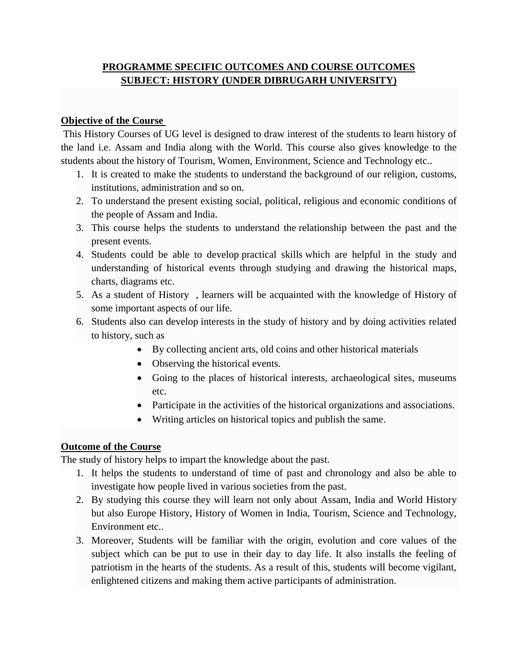## **PROGRAMME SPECIFIC OUTCOMES AND COURSE OUTCOMES SUBJECT: HISTORY (UNDER DIBRUGARH UNIVERSITY)**

#### **Objective of the Course**

This History Courses of UG level is designed to draw interest of the students to learn history of the land i.e. Assam and India along with the World. This course also gives knowledge to the students about the history of Tourism, Women, Environment, Science and Technology etc..

- 1. It is created to make the students to understand the background of our religion, customs, institutions, administration and so on.
- 2. To understand the present existing social, political, religious and economic conditions of the people of Assam and India.
- 3. This course helps the students to understand the relationship between the past and the present events.
- 4. Students could be able to develop practical skills which are helpful in the study and understanding of historical events through studying and drawing the historical maps, charts, diagrams etc.
- 5. As a student of History , learners will be acquainted with the knowledge of History of some important aspects of our life.
- 6. Students also can develop interests in the study of history and by doing activities related to history, such as
	- By collecting ancient arts, old coins and other historical materials
	- Observing the historical events.
	- Going to the places of historical interests, archaeological sites, museums etc.
	- Participate in the activities of the historical organizations and associations.
	- Writing articles on historical topics and publish the same.

#### **Outcome of the Course**

The study of history helps to impart the knowledge about the past.

- 1. It helps the students to understand of time of past and chronology and also be able to investigate how people lived in various societies from the past.
- 2. By studying this course they will learn not only about Assam, India and World History but also Europe History, History of Women in India, Tourism, Science and Technology, Environment etc..
- 3. Moreover, Students will be familiar with the origin, evolution and core values of the subject which can be put to use in their day to day life. It also installs the feeling of patriotism in the hearts of the students. As a result of this, students will become vigilant, enlightened citizens and making them active participants of administration.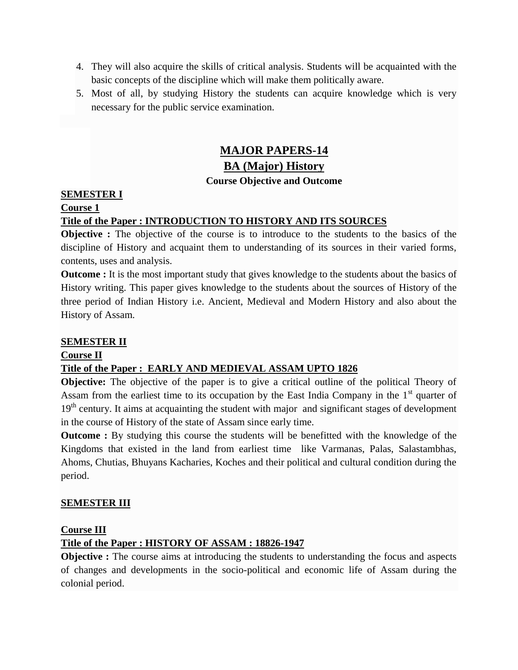- 4. They will also acquire the skills of critical analysis. Students will be acquainted with the basic concepts of the discipline which will make them politically aware.
- 5. Most of all, by studying History the students can acquire knowledge which is very necessary for the public service examination.

# **MAJOR PAPERS-14**

# **BA (Major) History**

## **Course Objective and Outcome**

## **SEMESTER I**

## **Course 1**

## **Title of the Paper : INTRODUCTION TO HISTORY AND ITS SOURCES**

**Objective :** The objective of the course is to introduce to the students to the basics of the discipline of History and acquaint them to understanding of its sources in their varied forms, contents, uses and analysis.

**Outcome** : It is the most important study that gives knowledge to the students about the basics of History writing. This paper gives knowledge to the students about the sources of History of the three period of Indian History i.e. Ancient, Medieval and Modern History and also about the History of Assam.

#### **SEMESTER II**

#### **Course II**

#### **Title of the Paper : EARLY AND MEDIEVAL ASSAM UPTO 1826**

**Objective:** The objective of the paper is to give a critical outline of the political Theory of Assam from the earliest time to its occupation by the East India Company in the  $1<sup>st</sup>$  quarter of  $19<sup>th</sup>$  century. It aims at acquainting the student with major and significant stages of development in the course of History of the state of Assam since early time.

**Outcome** : By studying this course the students will be benefitted with the knowledge of the Kingdoms that existed in the land from earliest time like Varmanas, Palas, Salastambhas, Ahoms, Chutias, Bhuyans Kacharies, Koches and their political and cultural condition during the period.

#### **SEMESTER III**

#### **Course III**

## **Title of the Paper : HISTORY OF ASSAM : 18826-1947**

**Objective :** The course aims at introducing the students to understanding the focus and aspects of changes and developments in the socio-political and economic life of Assam during the colonial period.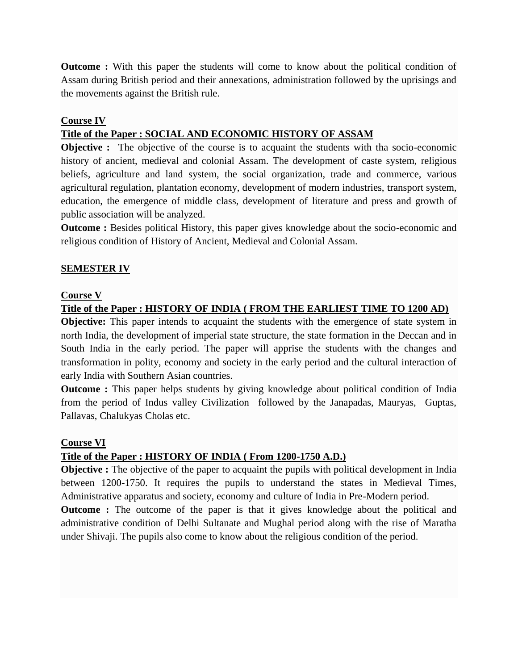**Outcome :** With this paper the students will come to know about the political condition of Assam during British period and their annexations, administration followed by the uprisings and the movements against the British rule.

#### **Course IV**

### **Title of the Paper : SOCIAL AND ECONOMIC HISTORY OF ASSAM**

**Objective :** The objective of the course is to acquaint the students with tha socio-economic history of ancient, medieval and colonial Assam. The development of caste system, religious beliefs, agriculture and land system, the social organization, trade and commerce, various agricultural regulation, plantation economy, development of modern industries, transport system, education, the emergence of middle class, development of literature and press and growth of public association will be analyzed.

**Outcome :** Besides political History, this paper gives knowledge about the socio-economic and religious condition of History of Ancient, Medieval and Colonial Assam.

#### **SEMESTER IV**

#### **Course V**

#### **Title of the Paper : HISTORY OF INDIA ( FROM THE EARLIEST TIME TO 1200 AD)**

**Objective:** This paper intends to acquaint the students with the emergence of state system in north India, the development of imperial state structure, the state formation in the Deccan and in South India in the early period. The paper will apprise the students with the changes and transformation in polity, economy and society in the early period and the cultural interaction of early India with Southern Asian countries.

**Outcome :** This paper helps students by giving knowledge about political condition of India from the period of Indus valley Civilization followed by the Janapadas, Mauryas, Guptas, Pallavas, Chalukyas Cholas etc.

#### **Course VI**

#### **Title of the Paper : HISTORY OF INDIA ( From 1200-1750 A.D.)**

**Objective :** The objective of the paper to acquaint the pupils with political development in India between 1200-1750. It requires the pupils to understand the states in Medieval Times, Administrative apparatus and society, economy and culture of India in Pre-Modern period.

**Outcome :** The outcome of the paper is that it gives knowledge about the political and administrative condition of Delhi Sultanate and Mughal period along with the rise of Maratha under Shivaji. The pupils also come to know about the religious condition of the period.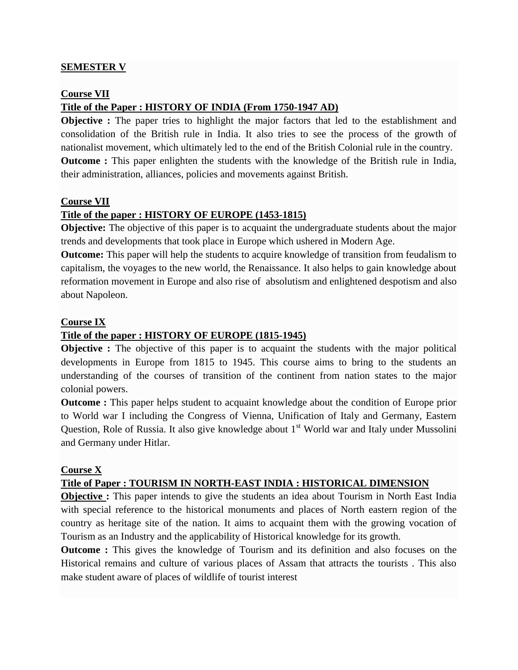#### **SEMESTER V**

#### **Course VII**

## **Title of the Paper : HISTORY OF INDIA (From 1750-1947 AD)**

**Objective** : The paper tries to highlight the major factors that led to the establishment and consolidation of the British rule in India. It also tries to see the process of the growth of nationalist movement, which ultimately led to the end of the British Colonial rule in the country. **Outcome :** This paper enlighten the students with the knowledge of the British rule in India, their administration, alliances, policies and movements against British.

#### **Course VII**

#### **Title of the paper : HISTORY OF EUROPE (1453-1815)**

**Objective:** The objective of this paper is to acquaint the undergraduate students about the major trends and developments that took place in Europe which ushered in Modern Age.

**Outcome:** This paper will help the students to acquire knowledge of transition from feudalism to capitalism, the voyages to the new world, the Renaissance. It also helps to gain knowledge about reformation movement in Europe and also rise of absolutism and enlightened despotism and also about Napoleon.

#### **Course IX**

#### **Title of the paper : HISTORY OF EUROPE (1815-1945)**

**Objective :** The objective of this paper is to acquaint the students with the major political developments in Europe from 1815 to 1945. This course aims to bring to the students an understanding of the courses of transition of the continent from nation states to the major colonial powers.

**Outcome :** This paper helps student to acquaint knowledge about the condition of Europe prior to World war I including the Congress of Vienna, Unification of Italy and Germany, Eastern Question, Role of Russia. It also give knowledge about  $1<sup>st</sup>$  World war and Italy under Mussolini and Germany under Hitlar.

#### **Course X**

#### **Title of Paper : TOURISM IN NORTH-EAST INDIA : HISTORICAL DIMENSION**

**Objective :** This paper intends to give the students an idea about Tourism in North East India with special reference to the historical monuments and places of North eastern region of the country as heritage site of the nation. It aims to acquaint them with the growing vocation of Tourism as an Industry and the applicability of Historical knowledge for its growth.

**Outcome** : This gives the knowledge of Tourism and its definition and also focuses on the Historical remains and culture of various places of Assam that attracts the tourists . This also make student aware of places of wildlife of tourist interest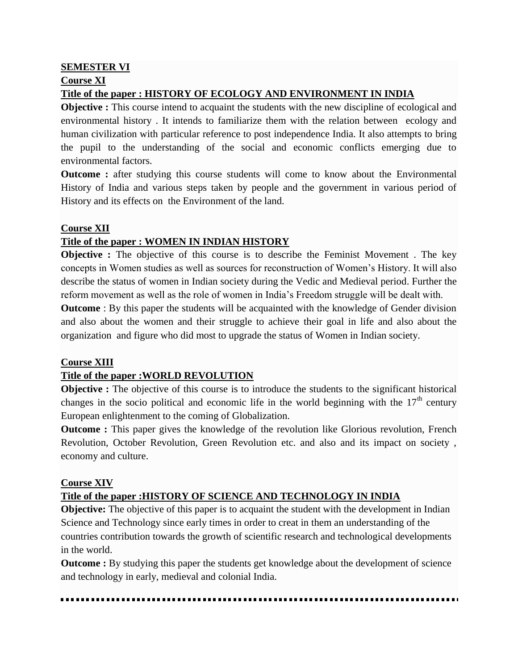## **SEMESTER VI Course XI Title of the paper : HISTORY OF ECOLOGY AND ENVIRONMENT IN INDIA**

**Objective :** This course intend to acquaint the students with the new discipline of ecological and environmental history . It intends to familiarize them with the relation between ecology and human civilization with particular reference to post independence India. It also attempts to bring the pupil to the understanding of the social and economic conflicts emerging due to environmental factors.

**Outcome :** after studying this course students will come to know about the Environmental History of India and various steps taken by people and the government in various period of History and its effects on the Environment of the land.

#### **Course XII**

## **Title of the paper : WOMEN IN INDIAN HISTORY**

**Objective :** The objective of this course is to describe the Feminist Movement. The key concepts in Women studies as well as sources for reconstruction of Women's History. It will also describe the status of women in Indian society during the Vedic and Medieval period. Further the reform movement as well as the role of women in India's Freedom struggle will be dealt with.

**Outcome** : By this paper the students will be acquainted with the knowledge of Gender division and also about the women and their struggle to achieve their goal in life and also about the organization and figure who did most to upgrade the status of Women in Indian society.

#### **Course XIII**

#### **Title of the paper :WORLD REVOLUTION**

**Objective :** The objective of this course is to introduce the students to the significant historical changes in the socio political and economic life in the world beginning with the  $17<sup>th</sup>$  century European enlightenment to the coming of Globalization.

**Outcome :** This paper gives the knowledge of the revolution like Glorious revolution, French Revolution, October Revolution, Green Revolution etc. and also and its impact on society , economy and culture.

#### **Course XIV**

## **Title of the paper :HISTORY OF SCIENCE AND TECHNOLOGY IN INDIA**

**Objective:** The objective of this paper is to acquaint the student with the development in Indian Science and Technology since early times in order to creat in them an understanding of the countries contribution towards the growth of scientific research and technological developments in the world.

**Outcome :** By studying this paper the students get knowledge about the development of science and technology in early, medieval and colonial India.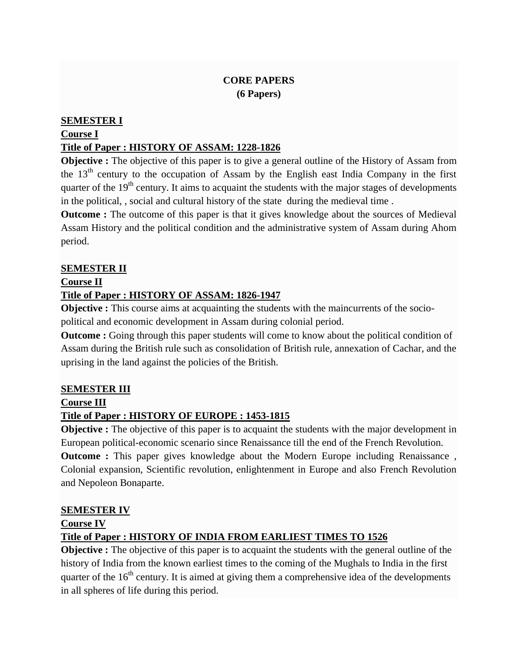## **CORE PAPERS (6 Papers)**

#### **SEMESTER I**

## **Course I**

## **Title of Paper : HISTORY OF ASSAM: 1228-1826**

**Objective :** The objective of this paper is to give a general outline of the History of Assam from the  $13<sup>th</sup>$  century to the occupation of Assam by the English east India Company in the first quarter of the  $19<sup>th</sup>$  century. It aims to acquaint the students with the major stages of developments in the political, , social and cultural history of the state during the medieval time .

**Outcome :** The outcome of this paper is that it gives knowledge about the sources of Medieval Assam History and the political condition and the administrative system of Assam during Ahom period.

## **SEMESTER II**

#### **Course II**

#### **Title of Paper : HISTORY OF ASSAM: 1826-1947**

**Objective :** This course aims at acquainting the students with the maincurrents of the sociopolitical and economic development in Assam during colonial period.

**Outcome :** Going through this paper students will come to know about the political condition of Assam during the British rule such as consolidation of British rule, annexation of Cachar, and the uprising in the land against the policies of the British.

#### **SEMESTER III**

#### **Course III**

## **Title of Paper : HISTORY OF EUROPE : 1453-1815**

**Objective :** The objective of this paper is to acquaint the students with the major development in European political-economic scenario since Renaissance till the end of the French Revolution.

**Outcome :** This paper gives knowledge about the Modern Europe including Renaissance, Colonial expansion, Scientific revolution, enlightenment in Europe and also French Revolution and Nepoleon Bonaparte.

#### **SEMESTER IV**

#### **Course IV**

#### **Title of Paper : HISTORY OF INDIA FROM EARLIEST TIMES TO 1526**

**Objective :** The objective of this paper is to acquaint the students with the general outline of the history of India from the known earliest times to the coming of the Mughals to India in the first quarter of the  $16<sup>th</sup>$  century. It is aimed at giving them a comprehensive idea of the developments in all spheres of life during this period.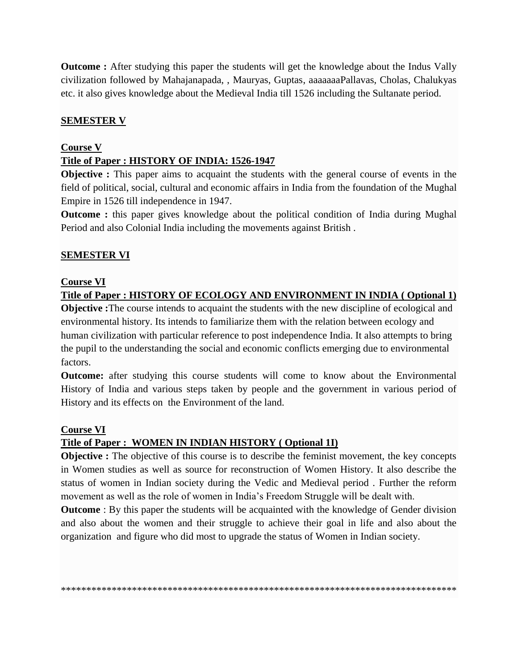**Outcome :** After studying this paper the students will get the knowledge about the Indus Vally civilization followed by Mahajanapada, , Mauryas, Guptas, aaaaaaaPallavas, Cholas, Chalukyas etc. it also gives knowledge about the Medieval India till 1526 including the Sultanate period.

#### **SEMESTER V**

#### **Course V**

### **Title of Paper : HISTORY OF INDIA: 1526-1947**

**Objective :** This paper aims to acquaint the students with the general course of events in the field of political, social, cultural and economic affairs in India from the foundation of the Mughal Empire in 1526 till independence in 1947.

**Outcome :** this paper gives knowledge about the political condition of India during Mughal Period and also Colonial India including the movements against British .

#### **SEMESTER VI**

#### **Course VI**

**Title of Paper : HISTORY OF ECOLOGY AND ENVIRONMENT IN INDIA ( Optional 1)**

**Objective :**The course intends to acquaint the students with the new discipline of ecological and environmental history. Its intends to familiarize them with the relation between ecology and human civilization with particular reference to post independence India. It also attempts to bring the pupil to the understanding the social and economic conflicts emerging due to environmental factors.

**Outcome:** after studying this course students will come to know about the Environmental History of India and various steps taken by people and the government in various period of History and its effects on the Environment of the land.

#### **Course VI**

#### **Title of Paper : WOMEN IN INDIAN HISTORY ( Optional 1I)**

**Objective :** The objective of this course is to describe the feminist movement, the key concepts in Women studies as well as source for reconstruction of Women History. It also describe the status of women in Indian society during the Vedic and Medieval period . Further the reform movement as well as the role of women in India's Freedom Struggle will be dealt with.

**Outcome** : By this paper the students will be acquainted with the knowledge of Gender division and also about the women and their struggle to achieve their goal in life and also about the organization and figure who did most to upgrade the status of Women in Indian society.

\*\*\*\*\*\*\*\*\*\*\*\*\*\*\*\*\*\*\*\*\*\*\*\*\*\*\*\*\*\*\*\*\*\*\*\*\*\*\*\*\*\*\*\*\*\*\*\*\*\*\*\*\*\*\*\*\*\*\*\*\*\*\*\*\*\*\*\*\*\*\*\*\*\*\*\*\*\*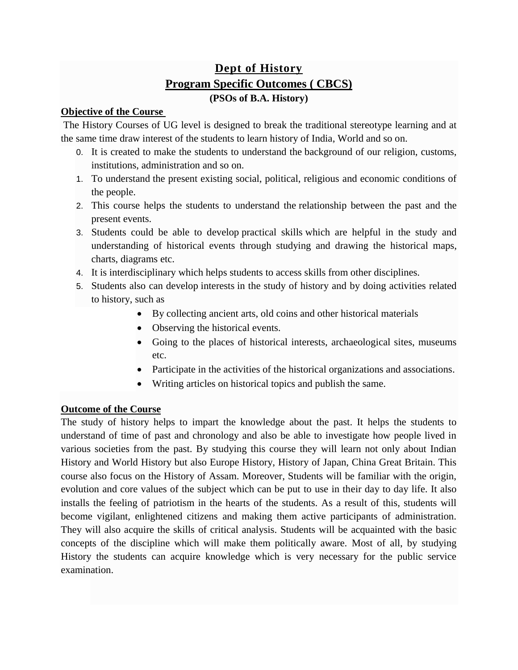# **[Dept of History](http://www.furkatingcollege.edu.in/courses-program-outcomes/#1605545271353-1f40f2d3-2fee) Program Specific Outcomes ( CBCS) (PSOs of B.A. History)**

#### **Objective of the Course**

The History Courses of UG level is designed to break the traditional stereotype learning and at the same time draw interest of the students to learn history of India, World and so on.

- 0. It is created to make the students to understand the background of our religion, customs, institutions, administration and so on.
- 1. To understand the present existing social, political, religious and economic conditions of the people.
- 2. This course helps the students to understand the relationship between the past and the present events.
- 3. Students could be able to develop practical skills which are helpful in the study and understanding of historical events through studying and drawing the historical maps, charts, diagrams etc.
- 4. It is interdisciplinary which helps students to access skills from other disciplines.
- 5. Students also can develop interests in the study of history and by doing activities related to history, such as
	- By collecting ancient arts, old coins and other historical materials
	- Observing the historical events.
	- Going to the places of historical interests, archaeological sites, museums etc.
	- Participate in the activities of the historical organizations and associations.
	- Writing articles on historical topics and publish the same.

#### **Outcome of the Course**

The study of history helps to impart the knowledge about the past. It helps the students to understand of time of past and chronology and also be able to investigate how people lived in various societies from the past. By studying this course they will learn not only about Indian History and World History but also Europe History, History of Japan, China Great Britain. This course also focus on the History of Assam. Moreover, Students will be familiar with the origin, evolution and core values of the subject which can be put to use in their day to day life. It also installs the feeling of patriotism in the hearts of the students. As a result of this, students will become vigilant, enlightened citizens and making them active participants of administration. They will also acquire the skills of critical analysis. Students will be acquainted with the basic concepts of the discipline which will make them politically aware. Most of all, by studying History the students can acquire knowledge which is very necessary for the public service examination.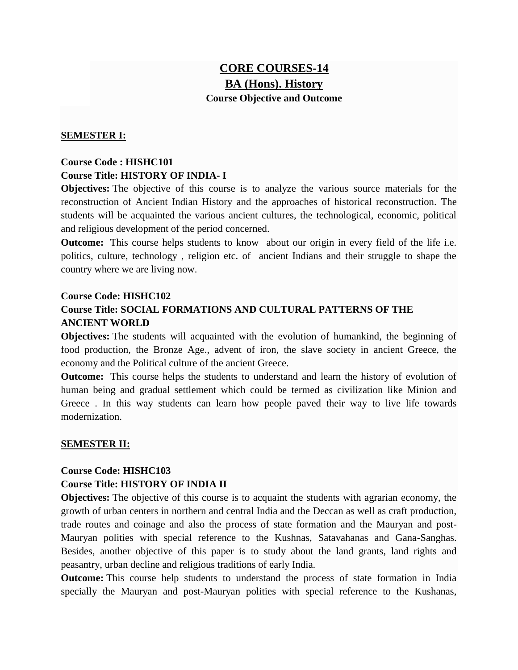# **CORE COURSES-14 BA (Hons). History Course Objective and Outcome**

#### **SEMESTER I:**

## **Course Code : HISHC101 Course Title: HISTORY OF INDIA- I**

**Objectives:** The objective of this course is to analyze the various source materials for the reconstruction of Ancient Indian History and the approaches of historical reconstruction. The students will be acquainted the various ancient cultures, the technological, economic, political and religious development of the period concerned.

**Outcome:** This course helps students to know about our origin in every field of the life i.e. politics, culture, technology , religion etc. of ancient Indians and their struggle to shape the country where we are living now.

#### **Course Code: HISHC102**

## **Course Title: SOCIAL FORMATIONS AND CULTURAL PATTERNS OF THE ANCIENT WORLD**

**Objectives:** The students will acquainted with the evolution of humankind, the beginning of food production, the Bronze Age., advent of iron, the slave society in ancient Greece, the economy and the Political culture of the ancient Greece.

**Outcome:** This course helps the students to understand and learn the history of evolution of human being and gradual settlement which could be termed as civilization like Minion and Greece . In this way students can learn how people paved their way to live life towards modernization.

#### **SEMESTER II:**

#### **Course Code: HISHC103**

#### **Course Title: HISTORY OF INDIA II**

**Objectives:** The objective of this course is to acquaint the students with agrarian economy, the growth of urban centers in northern and central India and the Deccan as well as craft production, trade routes and coinage and also the process of state formation and the Mauryan and post-Mauryan polities with special reference to the Kushnas, Satavahanas and Gana-Sanghas. Besides, another objective of this paper is to study about the land grants, land rights and peasantry, urban decline and religious traditions of early India.

**Outcome:** This course help students to understand the process of state formation in India specially the Mauryan and post-Mauryan polities with special reference to the Kushanas,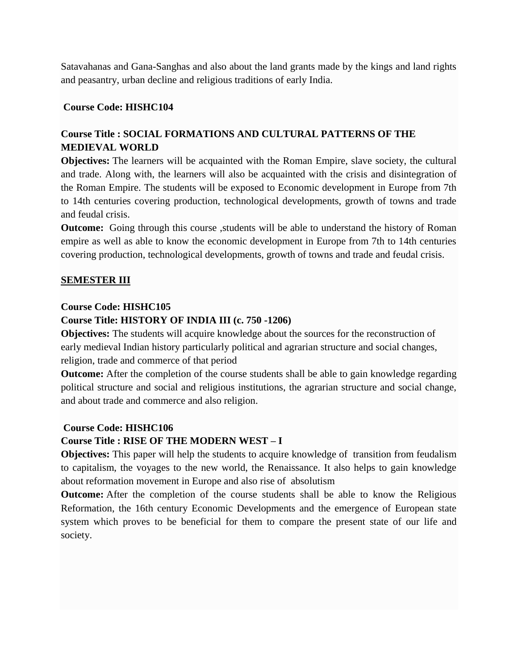Satavahanas and Gana-Sanghas and also about the land grants made by the kings and land rights and peasantry, urban decline and religious traditions of early India.

#### **Course Code: HISHC104**

## **Course Title : SOCIAL FORMATIONS AND CULTURAL PATTERNS OF THE MEDIEVAL WORLD**

**Objectives:** The learners will be acquainted with the Roman Empire, slave society, the cultural and trade. Along with, the learners will also be acquainted with the crisis and disintegration of the Roman Empire. The students will be exposed to Economic development in Europe from 7th to 14th centuries covering production, technological developments, growth of towns and trade and feudal crisis.

**Outcome:** Going through this course , students will be able to understand the history of Roman empire as well as able to know the economic development in Europe from 7th to 14th centuries covering production, technological developments, growth of towns and trade and feudal crisis.

#### **SEMESTER III**

#### **Course Code: HISHC105**

#### **Course Title: HISTORY OF INDIA III (c. 750 -1206)**

**Objectives:** The students will acquire knowledge about the sources for the reconstruction of early medieval Indian history particularly political and agrarian structure and social changes, religion, trade and commerce of that period

**Outcome:** After the completion of the course students shall be able to gain knowledge regarding political structure and social and religious institutions, the agrarian structure and social change, and about trade and commerce and also religion.

#### **Course Code: HISHC106**

#### **Course Title : RISE OF THE MODERN WEST – I**

**Objectives:** This paper will help the students to acquire knowledge of transition from feudalism to capitalism, the voyages to the new world, the Renaissance. It also helps to gain knowledge about reformation movement in Europe and also rise of absolutism

**Outcome:** After the completion of the course students shall be able to know the Religious Reformation, the 16th century Economic Developments and the emergence of European state system which proves to be beneficial for them to compare the present state of our life and society.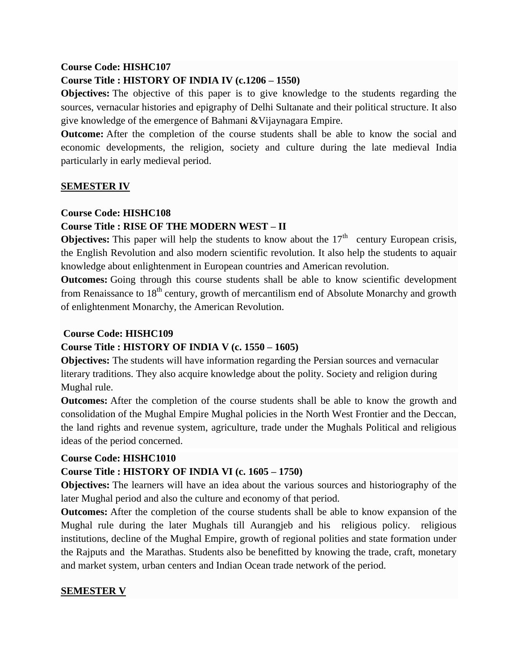#### **Course Code: HISHC107**

#### **Course Title : HISTORY OF INDIA IV (c.1206 – 1550)**

**Objectives:** The objective of this paper is to give knowledge to the students regarding the sources, vernacular histories and epigraphy of Delhi Sultanate and their political structure. It also give knowledge of the emergence of Bahmani &Vijaynagara Empire.

**Outcome:** After the completion of the course students shall be able to know the social and economic developments, the religion, society and culture during the late medieval India particularly in early medieval period.

#### **SEMESTER IV**

#### **Course Code: HISHC108**

#### **Course Title : RISE OF THE MODERN WEST – II**

**Objectives:** This paper will help the students to know about the  $17<sup>th</sup>$  century European crisis, the English Revolution and also modern scientific revolution. It also help the students to aquair knowledge about enlightenment in European countries and American revolution.

**Outcomes:** Going through this course students shall be able to know scientific development from Renaissance to 18<sup>th</sup> century, growth of mercantilism end of Absolute Monarchy and growth of enlightenment Monarchy, the American Revolution.

#### **Course Code: HISHC109**

#### **Course Title : HISTORY OF INDIA V (c. 1550 – 1605)**

**Objectives:** The students will have information regarding the Persian sources and vernacular literary traditions. They also acquire knowledge about the polity. Society and religion during Mughal rule.

**Outcomes:** After the completion of the course students shall be able to know the growth and consolidation of the Mughal Empire Mughal policies in the North West Frontier and the Deccan, the land rights and revenue system, agriculture, trade under the Mughals Political and religious ideas of the period concerned.

#### **Course Code: HISHC1010**

#### **Course Title : HISTORY OF INDIA VI (c. 1605 – 1750)**

**Objectives:** The learners will have an idea about the various sources and historiography of the later Mughal period and also the culture and economy of that period.

**Outcomes:** After the completion of the course students shall be able to know expansion of the Mughal rule during the later Mughals till Aurangjeb and his religious policy. religious institutions, decline of the Mughal Empire, growth of regional polities and state formation under the Rajputs and the Marathas. Students also be benefitted by knowing the trade, craft, monetary and market system, urban centers and Indian Ocean trade network of the period.

#### **SEMESTER V**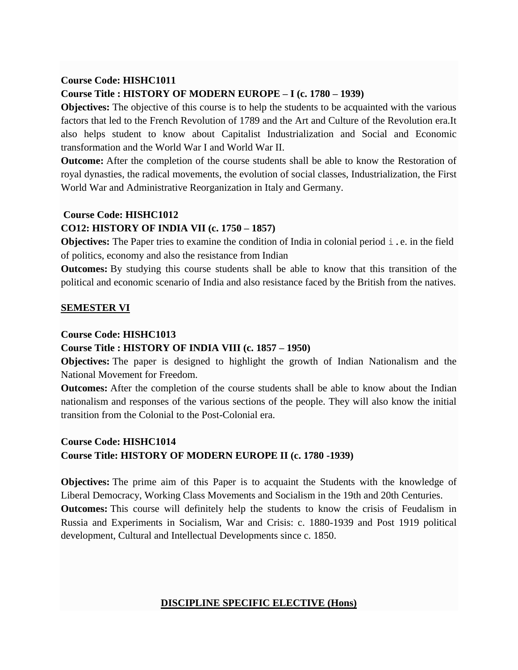#### **Course Code: HISHC1011**

#### **Course Title : HISTORY OF MODERN EUROPE – I (c. 1780 – 1939)**

**Objectives:** The objective of this course is to help the students to be acquainted with the various factors that led to the French Revolution of 1789 and the Art and Culture of the Revolution era.It also helps student to know about Capitalist Industrialization and Social and Economic transformation and the World War I and World War II.

**Outcome:** After the completion of the course students shall be able to know the Restoration of royal dynasties, the radical movements, the evolution of social classes, Industrialization, the First World War and Administrative Reorganization in Italy and Germany.

#### **Course Code: HISHC1012**

#### **CO12: HISTORY OF INDIA VII (c. 1750 – 1857)**

**Objectives:** The Paper tries to examine the condition of India in colonial period  $\pm$ . e. in the field of politics, economy and also the resistance from Indian

**Outcomes:** By studying this course students shall be able to know that this transition of the political and economic scenario of India and also resistance faced by the British from the natives.

#### **SEMESTER VI**

#### **Course Code: HISHC1013**

#### **Course Title : HISTORY OF INDIA VIII (c. 1857 – 1950)**

**Objectives:** The paper is designed to highlight the growth of Indian Nationalism and the National Movement for Freedom.

**Outcomes:** After the completion of the course students shall be able to know about the Indian nationalism and responses of the various sections of the people. They will also know the initial transition from the Colonial to the Post-Colonial era.

## **Course Code: HISHC1014 Course Title: HISTORY OF MODERN EUROPE II (c. 1780 -1939)**

**Objectives:** The prime aim of this Paper is to acquaint the Students with the knowledge of Liberal Democracy, Working Class Movements and Socialism in the 19th and 20th Centuries. **Outcomes:** This course will definitely help the students to know the crisis of Feudalism in Russia and Experiments in Socialism, War and Crisis: c. 1880-1939 and Post 1919 political development, Cultural and Intellectual Developments since c. 1850.

#### **DISCIPLINE SPECIFIC ELECTIVE (Hons)**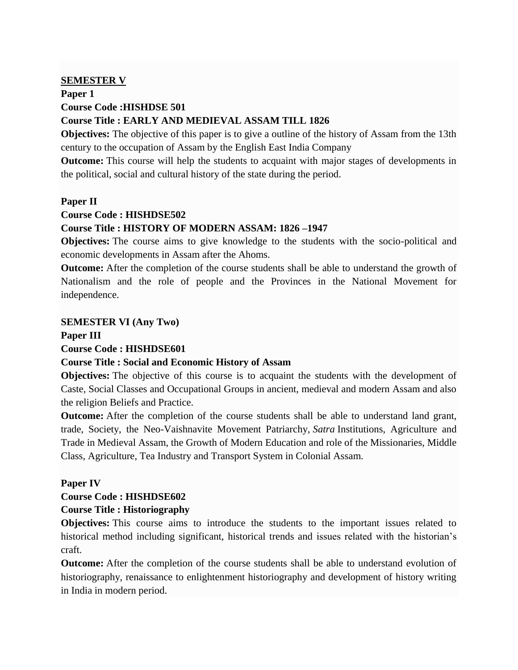#### **SEMESTER V**

#### **Paper 1 Course Code :HISHDSE 501**

## **Course Title : EARLY AND MEDIEVAL ASSAM TILL 1826**

**Objectives:** The objective of this paper is to give a outline of the history of Assam from the 13th century to the occupation of Assam by the English East India Company

**Outcome:** This course will help the students to acquaint with major stages of developments in the political, social and cultural history of the state during the period.

#### **Paper II**

#### **Course Code : HISHDSE502**

#### **Course Title : HISTORY OF MODERN ASSAM: 1826 –1947**

**Objectives:** The course aims to give knowledge to the students with the socio-political and economic developments in Assam after the Ahoms.

**Outcome:** After the completion of the course students shall be able to understand the growth of Nationalism and the role of people and the Provinces in the National Movement for independence.

#### **SEMESTER VI (Any Two)**

**Paper III**

#### **Course Code : HISHDSE601**

#### **Course Title : Social and Economic History of Assam**

**Objectives:** The objective of this course is to acquaint the students with the development of Caste, Social Classes and Occupational Groups in ancient, medieval and modern Assam and also the religion Beliefs and Practice.

**Outcome:** After the completion of the course students shall be able to understand land grant, trade, Society, the Neo-Vaishnavite Movement Patriarchy, *Satra* Institutions, Agriculture and Trade in Medieval Assam, the Growth of Modern Education and role of the Missionaries, Middle Class, Agriculture, Tea Industry and Transport System in Colonial Assam.

#### **Paper IV**

#### **Course Code : HISHDSE602**

#### **Course Title : Historiography**

**Objectives:** This course aims to introduce the students to the important issues related to historical method including significant, historical trends and issues related with the historian's craft.

**Outcome:** After the completion of the course students shall be able to understand evolution of historiography, renaissance to enlightenment historiography and development of history writing in India in modern period.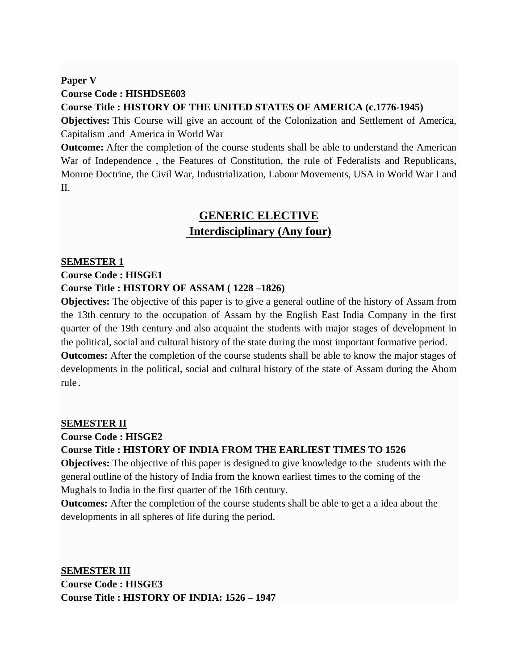## **Paper V Course Code : HISHDSE603 Course Title : HISTORY OF THE UNITED STATES OF AMERICA (c.1776-1945)**

**Objectives:** This Course will give an account of the Colonization and Settlement of America, Capitalism .and America in World War

**Outcome:** After the completion of the course students shall be able to understand the American War of Independence , the Features of Constitution, the rule of Federalists and Republicans, Monroe Doctrine, the Civil War, Industrialization, Labour Movements, USA in World War I and II.

# **GENERIC ELECTIVE Interdisciplinary (Any four)**

#### **SEMESTER 1**

#### **Course Code : HISGE1**

#### **Course Title : HISTORY OF ASSAM ( 1228 –1826)**

**Objectives:** The objective of this paper is to give a general outline of the history of Assam from the 13th century to the occupation of Assam by the English East India Company in the first quarter of the 19th century and also acquaint the students with major stages of development in the political, social and cultural history of the state during the most important formative period.

**Outcomes:** After the completion of the course students shall be able to know the major stages of developments in the political, social and cultural history of the state of Assam during the Ahom rule.

#### **SEMESTER II**

#### **Course Code : HISGE2**

#### **Course Title : HISTORY OF INDIA FROM THE EARLIEST TIMES TO 1526**

**Objectives:** The objective of this paper is designed to give knowledge to the students with the general outline of the history of India from the known earliest times to the coming of the Mughals to India in the first quarter of the 16th century.

**Outcomes:** After the completion of the course students shall be able to get a a idea about the developments in all spheres of life during the period.

**SEMESTER III Course Code : HISGE3 Course Title : HISTORY OF INDIA: 1526 – 1947**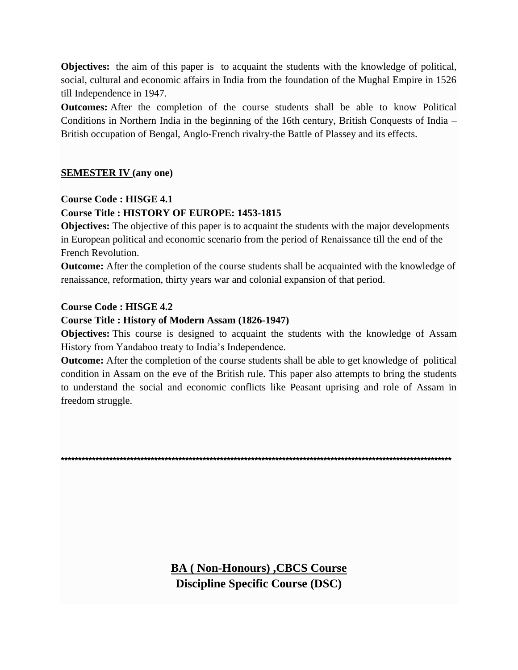**Objectives:** the aim of this paper is to acquaint the students with the knowledge of political, social, cultural and economic affairs in India from the foundation of the Mughal Empire in 1526 till Independence in 1947.

**Outcomes:** After the completion of the course students shall be able to know Political Conditions in Northern India in the beginning of the 16th century, British Conquests of India – British occupation of Bengal, Anglo-French rivalry-the Battle of Plassey and its effects.

## **SEMESTER IV (any one)**

#### **Course Code : HISGE 4.1**

#### **Course Title : HISTORY OF EUROPE: 1453-1815**

**Objectives:** The objective of this paper is to acquaint the students with the major developments in European political and economic scenario from the period of Renaissance till the end of the French Revolution.

**Outcome:** After the completion of the course students shall be acquainted with the knowledge of renaissance, reformation, thirty years war and colonial expansion of that period.

#### **Course Code : HISGE 4.2**

#### **Course Title : History of Modern Assam (1826-1947)**

**Objectives:** This course is designed to acquaint the students with the knowledge of Assam History from Yandaboo treaty to India's Independence.

**Outcome:** After the completion of the course students shall be able to get knowledge of political condition in Assam on the eve of the British rule. This paper also attempts to bring the students to understand the social and economic conflicts like Peasant uprising and role of Assam in freedom struggle.

**\*\*\*\*\*\*\*\*\*\*\*\*\*\*\*\*\*\*\*\*\*\*\*\*\*\*\*\*\*\*\*\*\*\*\*\*\*\*\*\*\*\*\*\*\*\*\*\*\*\*\*\*\*\*\*\*\*\*\*\*\*\*\*\*\*\*\*\*\*\*\*\*\*\*\*\*\*\*\*\*\*\*\*\*\*\*\*\*\*\*\*\*\*\*\*\*\*\*\*\*\*\*\*\*\*\*\*\*\*\*\*\*\***

**BA ( Non-Honours) ,CBCS Course Discipline Specific Course (DSC)**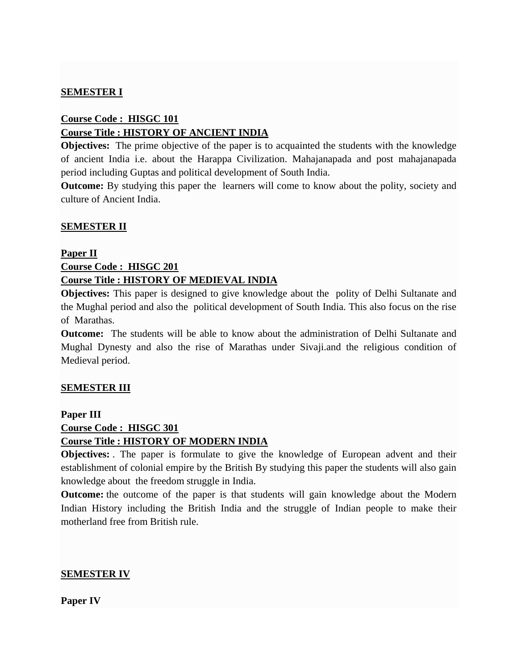#### **SEMESTER I**

### **Course Code : HISGC 101 Course Title : HISTORY OF ANCIENT INDIA**

**Objectives:** The prime objective of the paper is to acquainted the students with the knowledge of ancient India i.e. about the Harappa Civilization. Mahajanapada and post mahajanapada period including Guptas and political development of South India.

**Outcome:** By studying this paper the learners will come to know about the polity, society and culture of Ancient India.

#### **SEMESTER II**

#### **Paper II**

## **Course Code : HISGC 201 Course Title : HISTORY OF MEDIEVAL INDIA**

**Objectives:** This paper is designed to give knowledge about the polity of Delhi Sultanate and the Mughal period and also the political development of South India. This also focus on the rise of Marathas.

**Outcome:** The students will be able to know about the administration of Delhi Sultanate and Mughal Dynesty and also the rise of Marathas under Sivaji.and the religious condition of Medieval period.

#### **SEMESTER III**

**Paper III**

**Course Code : HISGC 301**

#### **Course Title : HISTORY OF MODERN INDIA**

**Objectives:** . The paper is formulate to give the knowledge of European advent and their establishment of colonial empire by the British By studying this paper the students will also gain knowledge about the freedom struggle in India.

**Outcome:** the outcome of the paper is that students will gain knowledge about the Modern Indian History including the British India and the struggle of Indian people to make their motherland free from British rule.

#### **SEMESTER IV**

**Paper IV**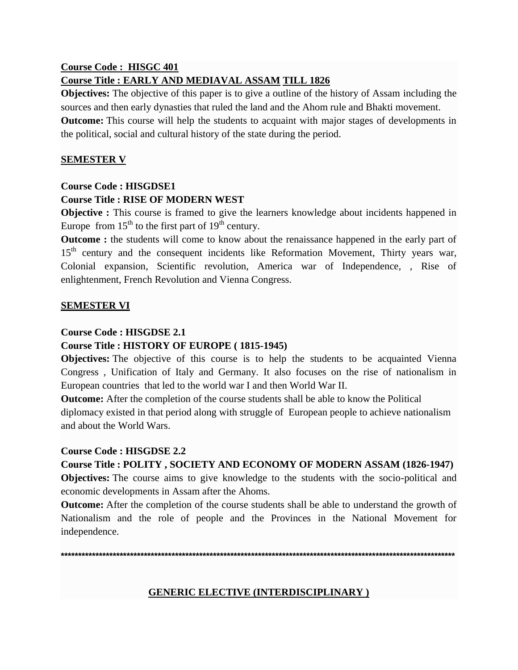## **Course Code : HISGC 401 Course Title : EARLY AND MEDIAVAL ASSAM TILL 1826**

**Objectives:** The objective of this paper is to give a outline of the history of Assam including the sources and then early dynasties that ruled the land and the Ahom rule and Bhakti movement. **Outcome:** This course will help the students to acquaint with major stages of developments in the political, social and cultural history of the state during the period.

## **SEMESTER V**

## **Course Code : HISGDSE1**

## **Course Title : RISE OF MODERN WEST**

**Objective :** This course is framed to give the learners knowledge about incidents happened in Europe from  $15<sup>th</sup>$  to the first part of  $19<sup>th</sup>$  century.

**Outcome** : the students will come to know about the renaissance happened in the early part of 15<sup>th</sup> century and the consequent incidents like Reformation Movement, Thirty years war, Colonial expansion, Scientific revolution, America war of Independence, , Rise of enlightenment, French Revolution and Vienna Congress.

## **SEMESTER VI**

## **Course Code : HISGDSE 2.1**

## **Course Title : HISTORY OF EUROPE ( 1815-1945)**

**Objectives:** The objective of this course is to help the students to be acquainted Vienna Congress , Unification of Italy and Germany. It also focuses on the rise of nationalism in European countries that led to the world war I and then World War II.

**Outcome:** After the completion of the course students shall be able to know the Political diplomacy existed in that period along with struggle of European people to achieve nationalism and about the World Wars.

## **Course Code : HISGDSE 2.2**

**Course Title : POLITY , SOCIETY AND ECONOMY OF MODERN ASSAM (1826-1947)**

**Objectives:** The course aims to give knowledge to the students with the socio-political and economic developments in Assam after the Ahoms.

**Outcome:** After the completion of the course students shall be able to understand the growth of Nationalism and the role of people and the Provinces in the National Movement for independence.

**\*\*\*\*\*\*\*\*\*\*\*\*\*\*\*\*\*\*\*\*\*\*\*\*\*\*\*\*\*\*\*\*\*\*\*\*\*\*\*\*\*\*\*\*\*\*\*\*\*\*\*\*\*\*\*\*\*\*\*\*\*\*\*\*\*\*\*\*\*\*\*\*\*\*\*\*\*\*\*\*\*\*\*\*\*\*\*\*\*\*\*\*\*\*\*\*\*\*\*\*\*\*\*\*\*\*\*\*\*\*\*\*\*\***

## **GENERIC ELECTIVE (INTERDISCIPLINARY )**